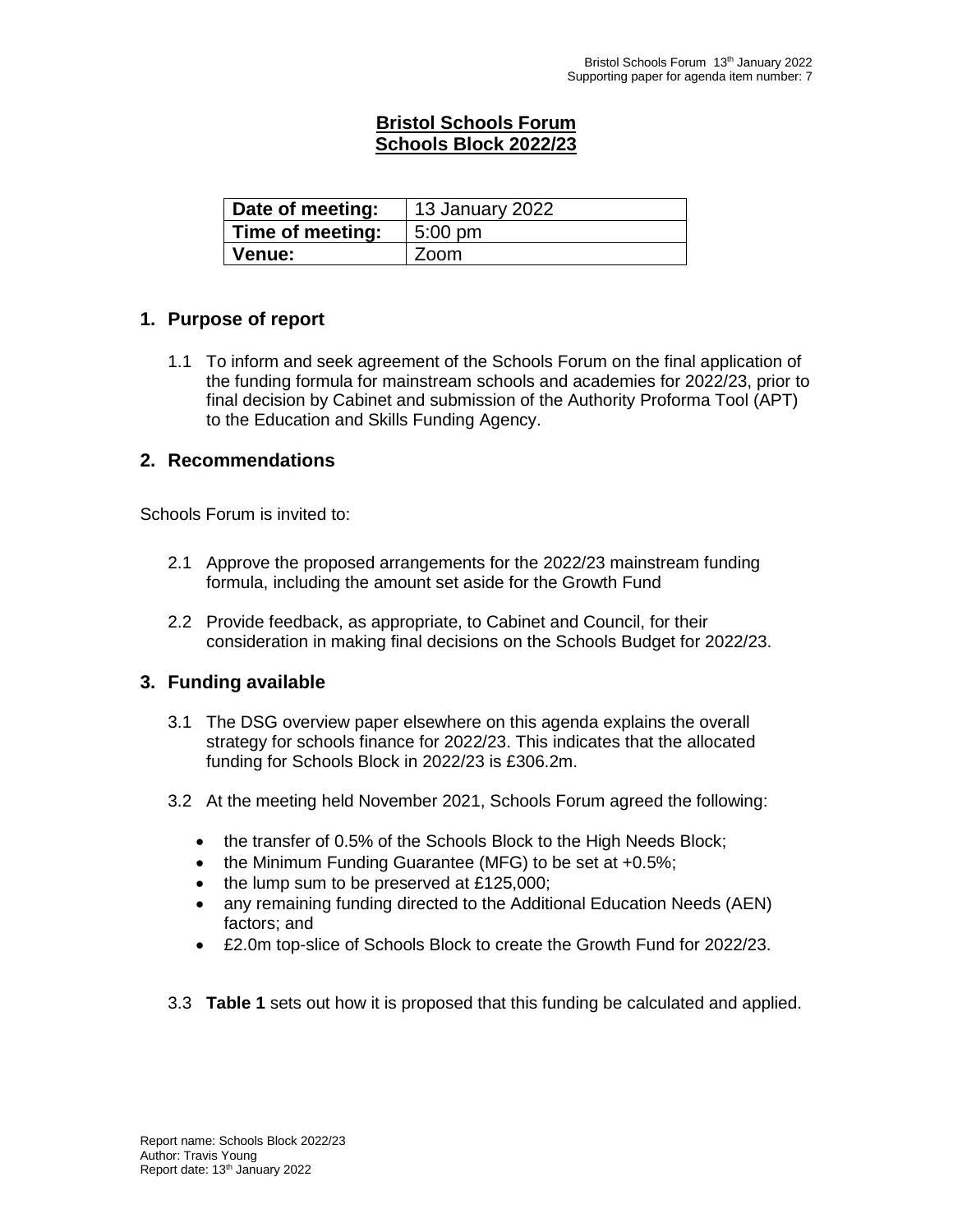## **Bristol Schools Forum Schools Block 2022/23**

| Date of meeting: | 13 January 2022  |  |
|------------------|------------------|--|
| Time of meeting: | $5:00$ pm        |  |
| <b>Venue:</b>    | $\mathsf{Z}$ oom |  |

### **1. Purpose of report**

1.1 To inform and seek agreement of the Schools Forum on the final application of the funding formula for mainstream schools and academies for 2022/23, prior to final decision by Cabinet and submission of the Authority Proforma Tool (APT) to the Education and Skills Funding Agency.

#### **2. Recommendations**

Schools Forum is invited to:

- 2.1 Approve the proposed arrangements for the 2022/23 mainstream funding formula, including the amount set aside for the Growth Fund
- 2.2 Provide feedback, as appropriate, to Cabinet and Council, for their consideration in making final decisions on the Schools Budget for 2022/23.

### **3. Funding available**

- 3.1 The DSG overview paper elsewhere on this agenda explains the overall strategy for schools finance for 2022/23. This indicates that the allocated funding for Schools Block in 2022/23 is £306.2m.
- 3.2 At the meeting held November 2021, Schools Forum agreed the following:
	- the transfer of 0.5% of the Schools Block to the High Needs Block;
	- $\bullet$  the Minimum Funding Guarantee (MFG) to be set at +0.5%;
	- $\bullet$  the lump sum to be preserved at £125,000;
	- any remaining funding directed to the Additional Education Needs (AEN) factors; and
	- £2.0m top-slice of Schools Block to create the Growth Fund for 2022/23.
- 3.3 **Table 1** sets out how it is proposed that this funding be calculated and applied.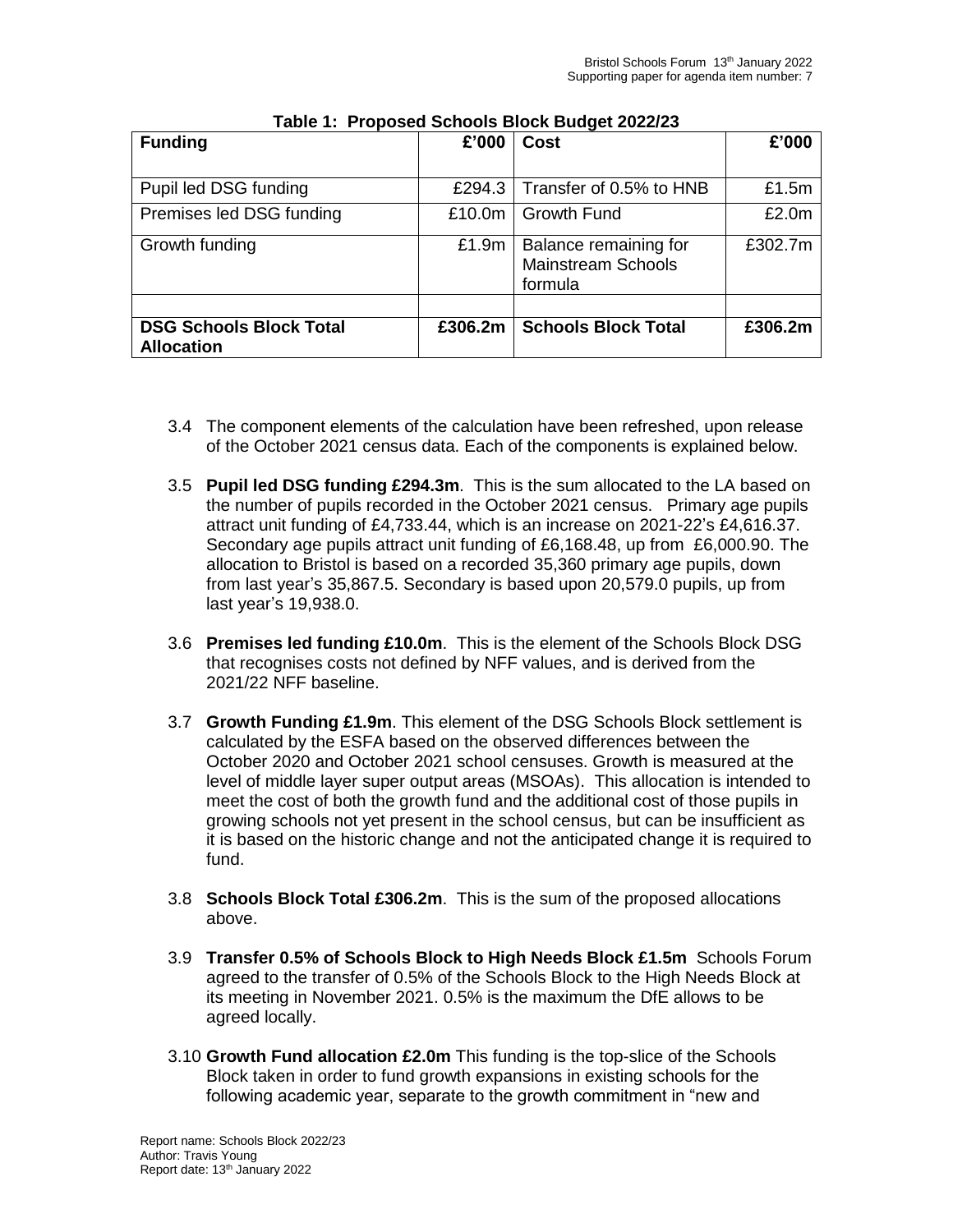| <b>Funding</b>                                      | £'000   | Cost                                                          | £'000    |  |
|-----------------------------------------------------|---------|---------------------------------------------------------------|----------|--|
| Pupil led DSG funding                               | £294.3  | Transfer of 0.5% to HNB                                       | £1.5 $m$ |  |
| Premises led DSG funding                            | £10.0m  | l Growth Fund                                                 | £2.0m    |  |
| Growth funding                                      | £1.9m   | Balance remaining for<br><b>Mainstream Schools</b><br>formula | £302.7m  |  |
|                                                     |         |                                                               |          |  |
| <b>DSG Schools Block Total</b><br><b>Allocation</b> | £306.2m | <b>Schools Block Total</b>                                    | £306.2m  |  |

|  | Table 1: Proposed Schools Block Budget 2022/23 |  |  |  |  |
|--|------------------------------------------------|--|--|--|--|
|--|------------------------------------------------|--|--|--|--|

- 3.4 The component elements of the calculation have been refreshed, upon release of the October 2021 census data. Each of the components is explained below.
- 3.5 **Pupil led DSG funding £294.3m**. This is the sum allocated to the LA based on the number of pupils recorded in the October 2021 census. Primary age pupils attract unit funding of £4,733.44, which is an increase on 2021-22's £4,616.37. Secondary age pupils attract unit funding of £6,168.48, up from £6,000.90. The allocation to Bristol is based on a recorded 35,360 primary age pupils, down from last year's 35,867.5. Secondary is based upon 20,579.0 pupils, up from last year's 19,938.0.
- 3.6 **Premises led funding £10.0m**. This is the element of the Schools Block DSG that recognises costs not defined by NFF values, and is derived from the 2021/22 NFF baseline.
- 3.7 **Growth Funding £1.9m**. This element of the DSG Schools Block settlement is calculated by the ESFA based on the observed differences between the October 2020 and October 2021 school censuses. Growth is measured at the level of middle layer super output areas (MSOAs). This allocation is intended to meet the cost of both the growth fund and the additional cost of those pupils in growing schools not yet present in the school census, but can be insufficient as it is based on the historic change and not the anticipated change it is required to fund.
- 3.8 **Schools Block Total £306.2m**. This is the sum of the proposed allocations above.
- 3.9 **Transfer 0.5% of Schools Block to High Needs Block £1.5m** Schools Forum agreed to the transfer of 0.5% of the Schools Block to the High Needs Block at its meeting in November 2021. 0.5% is the maximum the DfE allows to be agreed locally.
- 3.10 **Growth Fund allocation £2.0m** This funding is the top-slice of the Schools Block taken in order to fund growth expansions in existing schools for the following academic year, separate to the growth commitment in "new and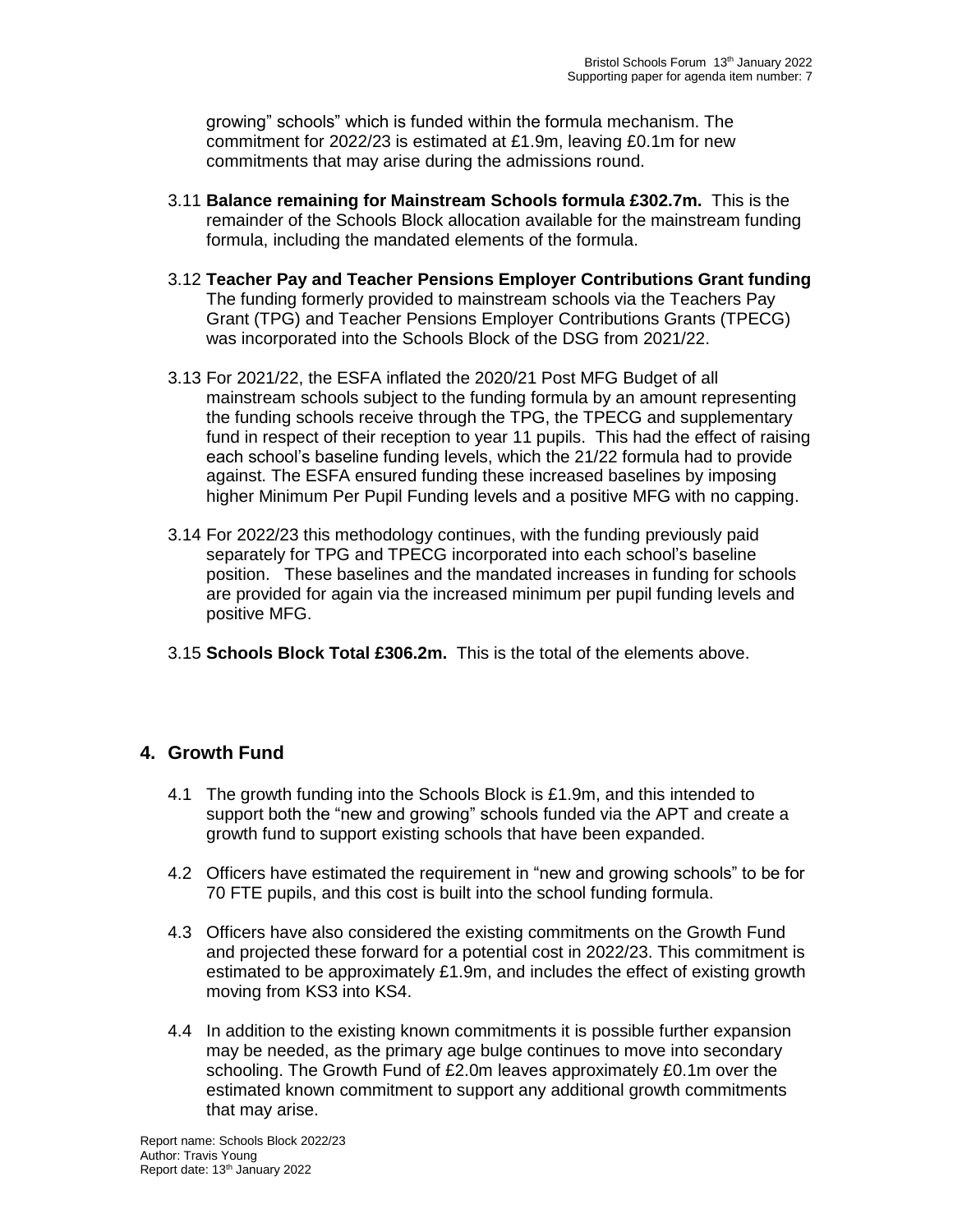growing" schools" which is funded within the formula mechanism. The commitment for 2022/23 is estimated at £1.9m, leaving £0.1m for new commitments that may arise during the admissions round.

- 3.11 **Balance remaining for Mainstream Schools formula £302.7m.** This is the remainder of the Schools Block allocation available for the mainstream funding formula, including the mandated elements of the formula.
- 3.12 **Teacher Pay and Teacher Pensions Employer Contributions Grant funding** The funding formerly provided to mainstream schools via the Teachers Pay Grant (TPG) and Teacher Pensions Employer Contributions Grants (TPECG) was incorporated into the Schools Block of the DSG from 2021/22.
- 3.13 For 2021/22, the ESFA inflated the 2020/21 Post MFG Budget of all mainstream schools subject to the funding formula by an amount representing the funding schools receive through the TPG, the TPECG and supplementary fund in respect of their reception to year 11 pupils. This had the effect of raising each school's baseline funding levels, which the 21/22 formula had to provide against. The ESFA ensured funding these increased baselines by imposing higher Minimum Per Pupil Funding levels and a positive MFG with no capping.
- 3.14 For 2022/23 this methodology continues, with the funding previously paid separately for TPG and TPECG incorporated into each school's baseline position. These baselines and the mandated increases in funding for schools are provided for again via the increased minimum per pupil funding levels and positive MFG.
- 3.15 **Schools Block Total £306.2m.** This is the total of the elements above.

### **4. Growth Fund**

- 4.1 The growth funding into the Schools Block is £1.9m, and this intended to support both the "new and growing" schools funded via the APT and create a growth fund to support existing schools that have been expanded.
- 4.2 Officers have estimated the requirement in "new and growing schools" to be for 70 FTE pupils, and this cost is built into the school funding formula.
- 4.3 Officers have also considered the existing commitments on the Growth Fund and projected these forward for a potential cost in 2022/23. This commitment is estimated to be approximately £1.9m, and includes the effect of existing growth moving from KS3 into KS4.
- 4.4 In addition to the existing known commitments it is possible further expansion may be needed, as the primary age bulge continues to move into secondary schooling. The Growth Fund of £2.0m leaves approximately £0.1m over the estimated known commitment to support any additional growth commitments that may arise.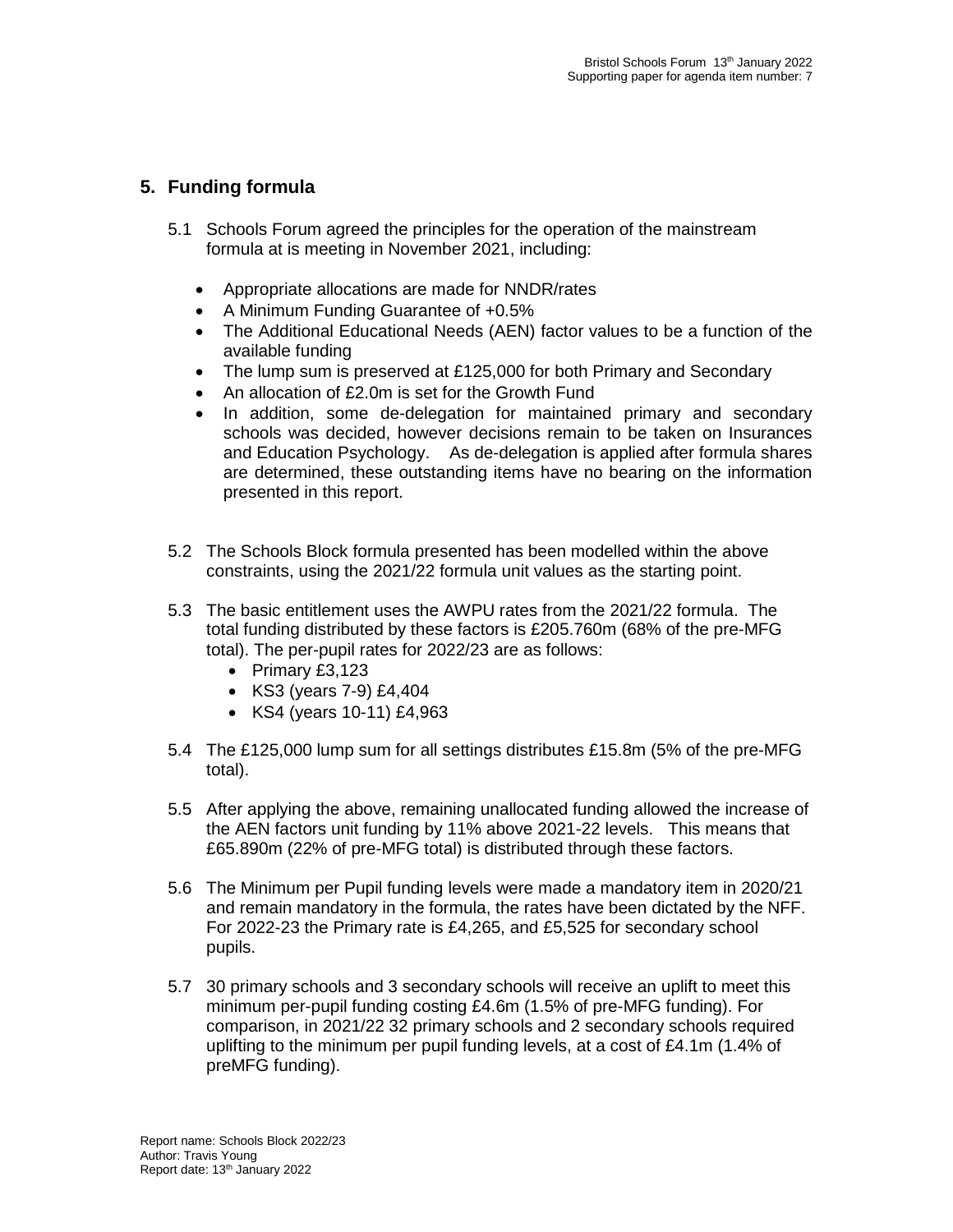# **5. Funding formula**

- 5.1 Schools Forum agreed the principles for the operation of the mainstream formula at is meeting in November 2021, including:
	- Appropriate allocations are made for NNDR/rates
	- A Minimum Funding Guarantee of +0.5%
	- The Additional Educational Needs (AEN) factor values to be a function of the available funding
	- The lump sum is preserved at £125,000 for both Primary and Secondary
	- An allocation of £2.0m is set for the Growth Fund
	- In addition, some de-delegation for maintained primary and secondary schools was decided, however decisions remain to be taken on Insurances and Education Psychology. As de-delegation is applied after formula shares are determined, these outstanding items have no bearing on the information presented in this report.
- 5.2 The Schools Block formula presented has been modelled within the above constraints, using the 2021/22 formula unit values as the starting point.
- 5.3 The basic entitlement uses the AWPU rates from the 2021/22 formula. The total funding distributed by these factors is £205.760m (68% of the pre-MFG total). The per-pupil rates for 2022/23 are as follows:
	- $\bullet$  Primary £3,123
	- KS3 (years 7-9) £4,404
	- KS4 (years 10-11) £4,963
- 5.4 The £125,000 lump sum for all settings distributes £15.8m (5% of the pre-MFG total).
- 5.5 After applying the above, remaining unallocated funding allowed the increase of the AEN factors unit funding by 11% above 2021-22 levels. This means that £65.890m (22% of pre-MFG total) is distributed through these factors.
- 5.6 The Minimum per Pupil funding levels were made a mandatory item in 2020/21 and remain mandatory in the formula, the rates have been dictated by the NFF. For 2022-23 the Primary rate is £4,265, and £5,525 for secondary school pupils.
- 5.7 30 primary schools and 3 secondary schools will receive an uplift to meet this minimum per-pupil funding costing £4.6m (1.5% of pre-MFG funding). For comparison, in 2021/22 32 primary schools and 2 secondary schools required uplifting to the minimum per pupil funding levels, at a cost of £4.1m (1.4% of preMFG funding).